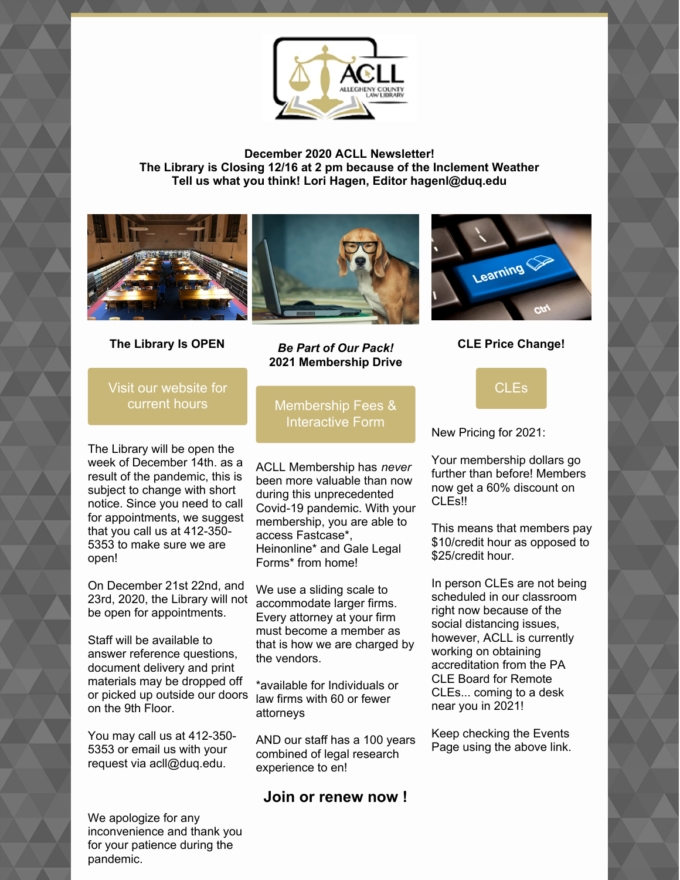

**December 2020 ACLL Newsletter! The Library is Closing 12/16 at 2 pm because of the Inclement Weather Tell us what you think! Lori Hagen, Editor hagenl@duq.edu**





**The Library Is OPEN**

*Be Part of Our Pack!* **2021 Membership Drive**



**CLE Price Change!**

Visit our [website](https://www.acllib.org/) for current hours

The Library will be open the week of December 14th. as a result of the pandemic, this is subject to change with short notice. Since you need to call for appointments, we suggest that you call us at 412-350- 5353 to make sure we are open!

On December 21st 22nd, and 23rd, 2020, the Library will not be open for appointments.

Staff will be available to answer reference questions, document delivery and print materials may be dropped off or picked up outside our doors law firms with 60 or fewer on the 9th Floor.

You may call us at 412-350- 5353 or email us with your request via acll@duq.edu.

We apologize for any inconvenience and thank you for your patience during the pandemic.

[Membership](https://www.acllib.org/index.php/membership/) Fees & Interactive Form

ACLL Membership has *never* been more valuable than now during this unprecedented Covid-19 pandemic. With your membership, you are able to access Fastcase\*, Heinonline\* and Gale Legal Forms\* from home!

We use a sliding scale to accommodate larger firms. Every attorney at your firm must become a member as that is how we are charged by the vendors.

\*available for Individuals or attorneys

AND our staff has a 100 years combined of legal research experience to en!

# **Join or renew now !**

[CLEs](https://www.acllib.org/events/)

New Pricing for 2021:

Your membership dollars go further than before! Members now get a 60% discount on CLE<sub>s</sub>!!

This means that members pay \$10/credit hour as opposed to \$25/credit hour.

In person CLEs are not being scheduled in our classroom right now because of the social distancing issues, however, ACLL is currently working on obtaining accreditation from the PA CLE Board for Remote CLEs... coming to a desk near you in 2021!

Keep checking the Events Page using the above link.